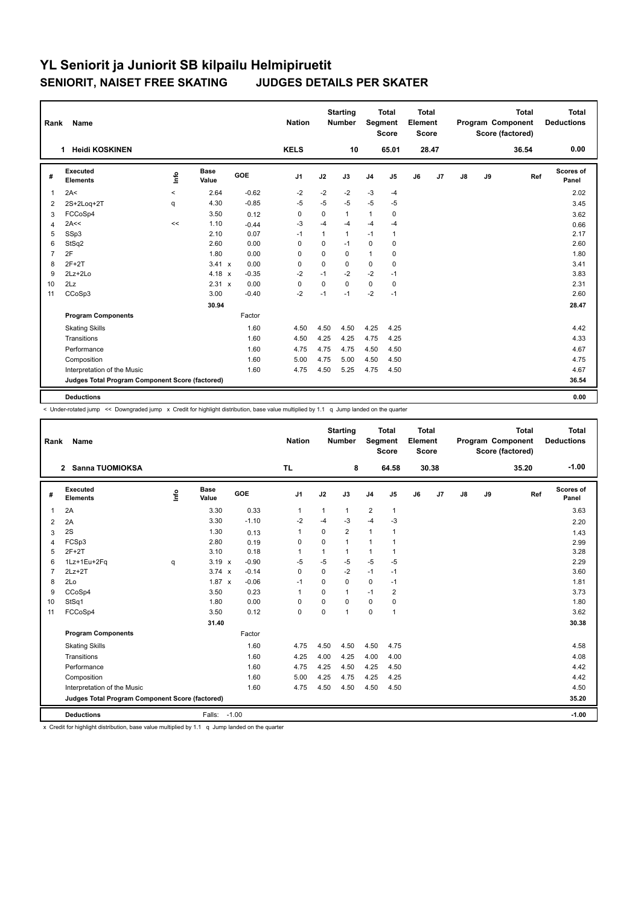| Rank           | <b>Name</b>                                     |         |               |         | <b>Nation</b>  |          | <b>Starting</b><br><b>Number</b> | Segment        | <b>Total</b><br><b>Score</b> | Total<br>Element<br><b>Score</b> |       |               |    | <b>Total</b><br>Program Component<br>Score (factored) | <b>Total</b><br><b>Deductions</b> |
|----------------|-------------------------------------------------|---------|---------------|---------|----------------|----------|----------------------------------|----------------|------------------------------|----------------------------------|-------|---------------|----|-------------------------------------------------------|-----------------------------------|
|                | <b>Heidi KOSKINEN</b><br>1                      |         |               |         | <b>KELS</b>    |          | 10                               |                | 65.01                        |                                  | 28.47 |               |    | 36.54                                                 | 0.00                              |
| #              | Executed<br><b>Elements</b>                     | Info    | Base<br>Value | GOE     | J <sub>1</sub> | J2       | J3                               | J <sub>4</sub> | J5                           | J6                               | J7    | $\mathsf{J}8$ | J9 | Ref                                                   | Scores of<br>Panel                |
| $\overline{1}$ | 2A<                                             | $\prec$ | 2.64          | $-0.62$ | $-2$           | $-2$     | $-2$                             | $-3$           | $-4$                         |                                  |       |               |    |                                                       | 2.02                              |
| 2              | 2S+2Loq+2T                                      | q       | 4.30          | $-0.85$ | $-5$           | $-5$     | $-5$                             | $-5$           | $-5$                         |                                  |       |               |    |                                                       | 3.45                              |
| 3              | FCCoSp4                                         |         | 3.50          | 0.12    | 0              | 0        | $\mathbf{1}$                     | $\mathbf{1}$   | 0                            |                                  |       |               |    |                                                       | 3.62                              |
| $\overline{4}$ | 2A<<                                            | <<      | 1.10          | $-0.44$ | $-3$           | $-4$     | $-4$                             | $-4$           | $-4$                         |                                  |       |               |    |                                                       | 0.66                              |
| 5              | SSp3                                            |         | 2.10          | 0.07    | $-1$           | 1        | 1                                | $-1$           | 1                            |                                  |       |               |    |                                                       | 2.17                              |
| 6              | StSq2                                           |         | 2.60          | 0.00    | $\Omega$       | $\Omega$ | $-1$                             | $\mathbf 0$    | 0                            |                                  |       |               |    |                                                       | 2.60                              |
| $\overline{7}$ | 2F                                              |         | 1.80          | 0.00    | 0              | $\Omega$ | 0                                | $\mathbf{1}$   | $\mathbf 0$                  |                                  |       |               |    |                                                       | 1.80                              |
| 8              | $2F+2T$                                         |         | $3.41 \times$ | 0.00    | $\mathbf 0$    | $\Omega$ | $\Omega$                         | $\mathbf 0$    | 0                            |                                  |       |               |    |                                                       | 3.41                              |
| 9              | $2Lz+2Lo$                                       |         | $4.18 \times$ | $-0.35$ | $-2$           | $-1$     | $-2$                             | $-2$           | $-1$                         |                                  |       |               |    |                                                       | 3.83                              |
| 10             | 2Lz                                             |         | 2.31 x        | 0.00    | $\mathbf 0$    | $\Omega$ | $\Omega$                         | $\mathbf 0$    | 0                            |                                  |       |               |    |                                                       | 2.31                              |
| 11             | CCoSp3                                          |         | 3.00          | $-0.40$ | $-2$           | $-1$     | $-1$                             | $-2$           | $-1$                         |                                  |       |               |    |                                                       | 2.60                              |
|                |                                                 |         | 30.94         |         |                |          |                                  |                |                              |                                  |       |               |    |                                                       | 28.47                             |
|                | <b>Program Components</b>                       |         |               | Factor  |                |          |                                  |                |                              |                                  |       |               |    |                                                       |                                   |
|                | <b>Skating Skills</b>                           |         |               | 1.60    | 4.50           | 4.50     | 4.50                             | 4.25           | 4.25                         |                                  |       |               |    |                                                       | 4.42                              |
|                | Transitions                                     |         |               | 1.60    | 4.50           | 4.25     | 4.25                             | 4.75           | 4.25                         |                                  |       |               |    |                                                       | 4.33                              |
|                | Performance                                     |         |               | 1.60    | 4.75           | 4.75     | 4.75                             | 4.50           | 4.50                         |                                  |       |               |    |                                                       | 4.67                              |
|                | Composition                                     |         |               | 1.60    | 5.00           | 4.75     | 5.00                             | 4.50           | 4.50                         |                                  |       |               |    |                                                       | 4.75                              |
|                | Interpretation of the Music                     |         |               | 1.60    | 4.75           | 4.50     | 5.25                             | 4.75           | 4.50                         |                                  |       |               |    |                                                       | 4.67                              |
|                | Judges Total Program Component Score (factored) |         |               |         |                |          |                                  |                |                              |                                  |       |               |    |                                                       | 36.54                             |
|                | <b>Deductions</b>                               |         |               |         |                |          |                                  |                |                              |                                  |       |               |    |                                                       | 0.00                              |

< Under-rotated jump << Downgraded jump x Credit for highlight distribution, base value multiplied by 1.1 q Jump landed on the quarter

| Rank           | <b>Name</b>                                     |      |                      |            | <b>Nation</b>  |              | <b>Starting</b><br><b>Number</b> | <b>Segment</b> | <b>Total</b><br><b>Score</b> | Total<br>Element<br><b>Score</b> |       |               |    | <b>Total</b><br>Program Component<br>Score (factored) | Total<br><b>Deductions</b> |
|----------------|-------------------------------------------------|------|----------------------|------------|----------------|--------------|----------------------------------|----------------|------------------------------|----------------------------------|-------|---------------|----|-------------------------------------------------------|----------------------------|
|                | 2 Sanna TUOMIOKSA                               |      |                      |            | TL.            |              | 8                                |                | 64.58                        |                                  | 30.38 |               |    | 35.20                                                 | $-1.00$                    |
| #              | Executed<br><b>Elements</b>                     | lnfo | <b>Base</b><br>Value | <b>GOE</b> | J <sub>1</sub> | J2           | J3                               | J <sub>4</sub> | J5                           | J6                               | J7    | $\mathsf{J}8$ | J9 | Ref                                                   | Scores of<br>Panel         |
| $\overline{1}$ | 2A                                              |      | 3.30                 | 0.33       | $\mathbf{1}$   | $\mathbf{1}$ | $\mathbf{1}$                     | 2              | $\mathbf{1}$                 |                                  |       |               |    |                                                       | 3.63                       |
| 2              | 2A                                              |      | 3.30                 | $-1.10$    | $-2$           | $-4$         | $-3$                             | $-4$           | -3                           |                                  |       |               |    |                                                       | 2.20                       |
| 3              | 2S                                              |      | 1.30                 | 0.13       | $\mathbf{1}$   | $\mathbf 0$  | $\overline{2}$                   | $\mathbf{1}$   | 1                            |                                  |       |               |    |                                                       | 1.43                       |
| 4              | FCSp3                                           |      | 2.80                 | 0.19       | 0              | $\Omega$     | 1                                | $\mathbf{1}$   | 1                            |                                  |       |               |    |                                                       | 2.99                       |
| 5              | $2F+2T$                                         |      | 3.10                 | 0.18       | 1              | 1            | 1                                | $\mathbf{1}$   | 1                            |                                  |       |               |    |                                                       | 3.28                       |
| 6              | 1Lz+1Eu+2Fq                                     | q    | $3.19 \times$        | $-0.90$    | -5             | $-5$         | $-5$                             | $-5$           | $-5$                         |                                  |       |               |    |                                                       | 2.29                       |
| $\overline{7}$ | $2Lz+2T$                                        |      | $3.74 \times$        | $-0.14$    | $\mathbf 0$    | $\mathbf 0$  | $-2$                             | $-1$           | $-1$                         |                                  |       |               |    |                                                       | 3.60                       |
| 8              | 2Lo                                             |      | $1.87 \times$        | $-0.06$    | $-1$           | $\Omega$     | 0                                | $\mathbf 0$    | $-1$                         |                                  |       |               |    |                                                       | 1.81                       |
| 9              | CCoSp4                                          |      | 3.50                 | 0.23       | 1              | $\mathbf 0$  | 1                                | $-1$           | $\overline{2}$               |                                  |       |               |    |                                                       | 3.73                       |
| 10             | StSq1                                           |      | 1.80                 | 0.00       | $\Omega$       | $\Omega$     | $\Omega$                         | $\Omega$       | $\Omega$                     |                                  |       |               |    |                                                       | 1.80                       |
| 11             | FCCoSp4                                         |      | 3.50                 | 0.12       | 0              | $\mathbf 0$  | $\mathbf{1}$                     | $\pmb{0}$      | 1                            |                                  |       |               |    |                                                       | 3.62                       |
|                |                                                 |      | 31.40                |            |                |              |                                  |                |                              |                                  |       |               |    |                                                       | 30.38                      |
|                | <b>Program Components</b>                       |      |                      | Factor     |                |              |                                  |                |                              |                                  |       |               |    |                                                       |                            |
|                | <b>Skating Skills</b>                           |      |                      | 1.60       | 4.75           | 4.50         | 4.50                             | 4.50           | 4.75                         |                                  |       |               |    |                                                       | 4.58                       |
|                | Transitions                                     |      |                      | 1.60       | 4.25           | 4.00         | 4.25                             | 4.00           | 4.00                         |                                  |       |               |    |                                                       | 4.08                       |
|                | Performance                                     |      |                      | 1.60       | 4.75           | 4.25         | 4.50                             | 4.25           | 4.50                         |                                  |       |               |    |                                                       | 4.42                       |
|                | Composition                                     |      |                      | 1.60       | 5.00           | 4.25         | 4.75                             | 4.25           | 4.25                         |                                  |       |               |    |                                                       | 4.42                       |
|                | Interpretation of the Music                     |      |                      | 1.60       | 4.75           | 4.50         | 4.50                             | 4.50           | 4.50                         |                                  |       |               |    |                                                       | 4.50                       |
|                | Judges Total Program Component Score (factored) |      |                      |            |                |              |                                  |                |                              |                                  |       |               |    |                                                       | 35.20                      |
|                | <b>Deductions</b>                               |      | Falls: -1.00         |            |                |              |                                  |                |                              |                                  |       |               |    |                                                       | $-1.00$                    |

x Credit for highlight distribution, base value multiplied by 1.1 q Jump landed on the quarter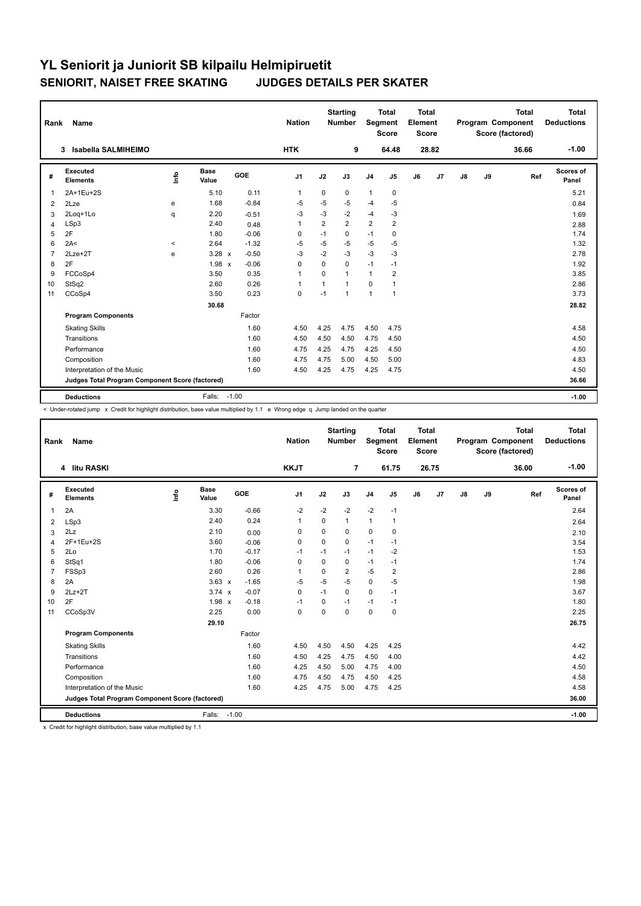| Rank           | Name                                            |         |                      |         | <b>Nation</b>  |                | <b>Starting</b><br><b>Number</b> | Segment        | <b>Total</b><br><b>Score</b> | Total<br>Element<br><b>Score</b> |                |               |    | <b>Total</b><br>Program Component<br>Score (factored) | Total<br><b>Deductions</b> |
|----------------|-------------------------------------------------|---------|----------------------|---------|----------------|----------------|----------------------------------|----------------|------------------------------|----------------------------------|----------------|---------------|----|-------------------------------------------------------|----------------------------|
|                | Isabella SALMIHEIMO<br>3                        |         |                      |         | <b>HTK</b>     |                | 9                                |                | 64.48                        |                                  | 28.82          |               |    | 36.66                                                 | $-1.00$                    |
| #              | Executed<br><b>Elements</b>                     | ١nfo    | <b>Base</b><br>Value | GOE     | J <sub>1</sub> | J2             | J3                               | J <sub>4</sub> | J5                           | J6                               | J <sub>7</sub> | $\mathsf{J}8$ | J9 | Ref                                                   | <b>Scores of</b><br>Panel  |
| $\overline{1}$ | 2A+1Eu+2S                                       |         | 5.10                 | 0.11    | $\mathbf{1}$   | 0              | 0                                | $\mathbf{1}$   | 0                            |                                  |                |               |    |                                                       | 5.21                       |
| 2              | 2Lze                                            | e       | 1.68                 | $-0.84$ | $-5$           | $-5$           | $-5$                             | $-4$           | -5                           |                                  |                |               |    |                                                       | 0.84                       |
| 3              | 2Loq+1Lo                                        | q       | 2.20                 | $-0.51$ | $-3$           | $-3$           | $-2$                             | $-4$           | -3                           |                                  |                |               |    |                                                       | 1.69                       |
| $\overline{4}$ | LSp3                                            |         | 2.40                 | 0.48    | $\overline{1}$ | $\overline{2}$ | $\overline{2}$                   | $\overline{2}$ | $\overline{2}$               |                                  |                |               |    |                                                       | 2.88                       |
| 5              | 2F                                              |         | 1.80                 | $-0.06$ | 0              | $-1$           | 0                                | $-1$           | 0                            |                                  |                |               |    |                                                       | 1.74                       |
| 6              | 2A<                                             | $\prec$ | 2.64                 | $-1.32$ | -5             | $-5$           | -5                               | $-5$           | $-5$                         |                                  |                |               |    |                                                       | 1.32                       |
| $\overline{7}$ | 2Lze+2T                                         | e       | $3.28 \times$        | $-0.50$ | -3             | $-2$           | $-3$                             | $-3$           | $-3$                         |                                  |                |               |    |                                                       | 2.78                       |
| 8              | 2F                                              |         | $1.98 \times$        | $-0.06$ | $\mathbf 0$    | 0              | 0                                | $-1$           | $-1$                         |                                  |                |               |    |                                                       | 1.92                       |
| 9              | FCCoSp4                                         |         | 3.50                 | 0.35    | $\overline{1}$ | $\Omega$       | 1                                | $\mathbf{1}$   | $\overline{2}$               |                                  |                |               |    |                                                       | 3.85                       |
| 10             | StSq2                                           |         | 2.60                 | 0.26    | $\overline{1}$ | $\mathbf{1}$   | $\overline{1}$                   | $\mathbf 0$    | $\mathbf{1}$                 |                                  |                |               |    |                                                       | 2.86                       |
| 11             | CCoSp4                                          |         | 3.50                 | 0.23    | $\mathbf 0$    | $-1$           | 1                                | $\overline{1}$ | $\mathbf{1}$                 |                                  |                |               |    |                                                       | 3.73                       |
|                |                                                 |         | 30.68                |         |                |                |                                  |                |                              |                                  |                |               |    |                                                       | 28.82                      |
|                | <b>Program Components</b>                       |         |                      | Factor  |                |                |                                  |                |                              |                                  |                |               |    |                                                       |                            |
|                | <b>Skating Skills</b>                           |         |                      | 1.60    | 4.50           | 4.25           | 4.75                             | 4.50           | 4.75                         |                                  |                |               |    |                                                       | 4.58                       |
|                | Transitions                                     |         |                      | 1.60    | 4.50           | 4.50           | 4.50                             | 4.75           | 4.50                         |                                  |                |               |    |                                                       | 4.50                       |
|                | Performance                                     |         |                      | 1.60    | 4.75           | 4.25           | 4.75                             | 4.25           | 4.50                         |                                  |                |               |    |                                                       | 4.50                       |
|                | Composition                                     |         |                      | 1.60    | 4.75           | 4.75           | 5.00                             | 4.50           | 5.00                         |                                  |                |               |    |                                                       | 4.83                       |
|                | Interpretation of the Music                     |         |                      | 1.60    | 4.50           | 4.25           | 4.75                             | 4.25           | 4.75                         |                                  |                |               |    |                                                       | 4.50                       |
|                | Judges Total Program Component Score (factored) |         |                      |         |                |                |                                  |                |                              |                                  |                |               |    |                                                       | 36.66                      |
|                | <b>Deductions</b>                               |         | Falls:               | $-1.00$ |                |                |                                  |                |                              |                                  |                |               |    |                                                       | $-1.00$                    |

< Under-rotated jump x Credit for highlight distribution, base value multiplied by 1.1 e Wrong edge q Jump landed on the quarter

| Rank           | Name                                            |      |                      |            | <b>Nation</b>  |             | <b>Starting</b><br><b>Number</b> | Segment        | <b>Total</b><br><b>Score</b> | <b>Total</b><br>Element<br><b>Score</b> |       |    |    | <b>Total</b><br>Program Component<br>Score (factored) | Total<br><b>Deductions</b> |
|----------------|-------------------------------------------------|------|----------------------|------------|----------------|-------------|----------------------------------|----------------|------------------------------|-----------------------------------------|-------|----|----|-------------------------------------------------------|----------------------------|
|                | 4 litu RASKI                                    |      |                      |            | <b>KKJT</b>    |             | $\overline{7}$                   |                | 61.75                        |                                         | 26.75 |    |    | 36.00                                                 | $-1.00$                    |
| #              | Executed<br><b>Elements</b>                     | ١rfo | <b>Base</b><br>Value | <b>GOE</b> | J <sub>1</sub> | J2          | J3                               | J <sub>4</sub> | J <sub>5</sub>               | J6                                      | J7    | J8 | J9 | Ref                                                   | Scores of<br>Panel         |
| 1              | 2A                                              |      | 3.30                 | $-0.66$    | $-2$           | $-2$        | $-2$                             | $-2$           | $-1$                         |                                         |       |    |    |                                                       | 2.64                       |
| 2              | LSp3                                            |      | 2.40                 | 0.24       | -1             | $\Omega$    | 1                                | $\mathbf{1}$   | 1                            |                                         |       |    |    |                                                       | 2.64                       |
| 3              | 2Lz                                             |      | 2.10                 | 0.00       | 0              | $\Omega$    | $\Omega$                         | $\mathbf 0$    | $\mathbf 0$                  |                                         |       |    |    |                                                       | 2.10                       |
| 4              | 2F+1Eu+2S                                       |      | 3.60                 | $-0.06$    | $\mathbf 0$    | $\Omega$    | $\Omega$                         | $-1$           | $-1$                         |                                         |       |    |    |                                                       | 3.54                       |
| 5              | 2Lo                                             |      | 1.70                 | $-0.17$    | $-1$           | $-1$        | $-1$                             | $-1$           | $-2$                         |                                         |       |    |    |                                                       | 1.53                       |
| 6              | StSq1                                           |      | 1.80                 | $-0.06$    | 0              | $\Omega$    | 0                                | $-1$           | $-1$                         |                                         |       |    |    |                                                       | 1.74                       |
| $\overline{7}$ | FSSp3                                           |      | 2.60                 | 0.26       | $\overline{1}$ | $\Omega$    | $\overline{2}$                   | $-5$           | $\overline{2}$               |                                         |       |    |    |                                                       | 2.86                       |
| 8              | 2A                                              |      | $3.63 \times$        | $-1.65$    | $-5$           | $-5$        | $-5$                             | $\mathbf 0$    | $-5$                         |                                         |       |    |    |                                                       | 1.98                       |
| 9              | $2Lz+2T$                                        |      | $3.74 \times$        | $-0.07$    | 0              | $-1$        | $\Omega$                         | $\mathbf 0$    | $-1$                         |                                         |       |    |    |                                                       | 3.67                       |
| 10             | 2F                                              |      | $1.98 \times$        | $-0.18$    | $-1$           | $\mathbf 0$ | $-1$                             | $-1$           | $-1$                         |                                         |       |    |    |                                                       | 1.80                       |
| 11             | CCoSp3V                                         |      | 2.25                 | 0.00       | $\mathbf 0$    | 0           | $\mathbf 0$                      | $\mathbf 0$    | $\mathbf 0$                  |                                         |       |    |    |                                                       | 2.25                       |
|                |                                                 |      | 29.10                |            |                |             |                                  |                |                              |                                         |       |    |    |                                                       | 26.75                      |
|                | <b>Program Components</b>                       |      |                      | Factor     |                |             |                                  |                |                              |                                         |       |    |    |                                                       |                            |
|                | <b>Skating Skills</b>                           |      |                      | 1.60       | 4.50           | 4.50        | 4.50                             | 4.25           | 4.25                         |                                         |       |    |    |                                                       | 4.42                       |
|                | Transitions                                     |      |                      | 1.60       | 4.50           | 4.25        | 4.75                             | 4.50           | 4.00                         |                                         |       |    |    |                                                       | 4.42                       |
|                | Performance                                     |      |                      | 1.60       | 4.25           | 4.50        | 5.00                             | 4.75           | 4.00                         |                                         |       |    |    |                                                       | 4.50                       |
|                | Composition                                     |      |                      | 1.60       | 4.75           | 4.50        | 4.75                             | 4.50           | 4.25                         |                                         |       |    |    |                                                       | 4.58                       |
|                | Interpretation of the Music                     |      |                      | 1.60       | 4.25           | 4.75        | 5.00                             | 4.75           | 4.25                         |                                         |       |    |    |                                                       | 4.58                       |
|                | Judges Total Program Component Score (factored) |      |                      |            |                |             |                                  |                |                              |                                         |       |    |    |                                                       | 36.00                      |
|                | <b>Deductions</b>                               |      | Falls: -1.00         |            |                |             |                                  |                |                              |                                         |       |    |    |                                                       | $-1.00$                    |

x Credit for highlight distribution, base value multiplied by 1.1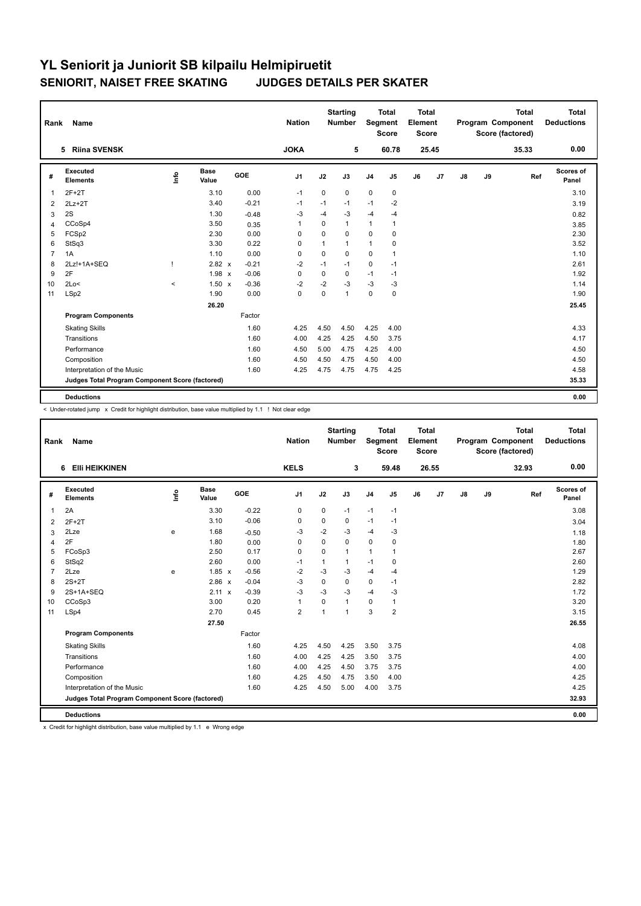| Rank           | <b>Name</b>                                     |         |                      |            | <b>Nation</b>  |              | <b>Starting</b><br><b>Number</b> | Segment        | <b>Total</b><br><b>Score</b> | Total<br>Element<br><b>Score</b> |       |    |    | <b>Total</b><br>Program Component<br>Score (factored) | <b>Total</b><br><b>Deductions</b> |
|----------------|-------------------------------------------------|---------|----------------------|------------|----------------|--------------|----------------------------------|----------------|------------------------------|----------------------------------|-------|----|----|-------------------------------------------------------|-----------------------------------|
|                | <b>Riina SVENSK</b><br>5                        |         |                      |            | <b>JOKA</b>    |              | 5                                |                | 60.78                        |                                  | 25.45 |    |    | 35.33                                                 | 0.00                              |
| #              | Executed<br><b>Elements</b>                     | ١rfo    | <b>Base</b><br>Value | <b>GOE</b> | J <sub>1</sub> | J2           | J3                               | J <sub>4</sub> | J <sub>5</sub>               | J6                               | J7    | J8 | J9 | Ref                                                   | Scores of<br>Panel                |
| $\overline{1}$ | $2F+2T$                                         |         | 3.10                 | 0.00       | $-1$           | $\mathbf 0$  | 0                                | $\mathbf 0$    | 0                            |                                  |       |    |    |                                                       | 3.10                              |
| 2              | $2Lz+2T$                                        |         | 3.40                 | $-0.21$    | $-1$           | $-1$         | $-1$                             | $-1$           | -2                           |                                  |       |    |    |                                                       | 3.19                              |
| 3              | 2S                                              |         | 1.30                 | $-0.48$    | $-3$           | $-4$         | $-3$                             | $-4$           | $-4$                         |                                  |       |    |    |                                                       | 0.82                              |
| 4              | CCoSp4                                          |         | 3.50                 | 0.35       | $\overline{1}$ | 0            | $\mathbf{1}$                     | $\mathbf{1}$   | $\mathbf{1}$                 |                                  |       |    |    |                                                       | 3.85                              |
| 5              | FCSp2                                           |         | 2.30                 | 0.00       | 0              | 0            | 0                                | 0              | 0                            |                                  |       |    |    |                                                       | 2.30                              |
| 6              | StSq3                                           |         | 3.30                 | 0.22       | 0              | $\mathbf{1}$ | 1                                | $\mathbf{1}$   | 0                            |                                  |       |    |    |                                                       | 3.52                              |
| $\overline{7}$ | 1A                                              |         | 1.10                 | 0.00       | $\mathbf 0$    | 0            | 0                                | $\mathbf 0$    | $\mathbf{1}$                 |                                  |       |    |    |                                                       | 1.10                              |
| 8              | 2Lz!+1A+SEQ                                     |         | 2.82 x               | $-0.21$    | $-2$           | $-1$         | $-1$                             | $\mathbf 0$    | $-1$                         |                                  |       |    |    |                                                       | 2.61                              |
| 9              | 2F                                              |         | $1.98 \times$        | $-0.06$    | 0              | 0            | 0                                | $-1$           | $-1$                         |                                  |       |    |    |                                                       | 1.92                              |
| 10             | 2Lo<                                            | $\,<\,$ | $1.50 \times$        | $-0.36$    | $-2$           | $-2$         | $-3$                             | $-3$           | $-3$                         |                                  |       |    |    |                                                       | 1.14                              |
| 11             | LSp2                                            |         | 1.90                 | 0.00       | $\mathbf 0$    | $\mathbf 0$  | 1                                | $\mathbf 0$    | $\mathbf 0$                  |                                  |       |    |    |                                                       | 1.90                              |
|                |                                                 |         | 26.20                |            |                |              |                                  |                |                              |                                  |       |    |    |                                                       | 25.45                             |
|                | <b>Program Components</b>                       |         |                      | Factor     |                |              |                                  |                |                              |                                  |       |    |    |                                                       |                                   |
|                | <b>Skating Skills</b>                           |         |                      | 1.60       | 4.25           | 4.50         | 4.50                             | 4.25           | 4.00                         |                                  |       |    |    |                                                       | 4.33                              |
|                | Transitions                                     |         |                      | 1.60       | 4.00           | 4.25         | 4.25                             | 4.50           | 3.75                         |                                  |       |    |    |                                                       | 4.17                              |
|                | Performance                                     |         |                      | 1.60       | 4.50           | 5.00         | 4.75                             | 4.25           | 4.00                         |                                  |       |    |    |                                                       | 4.50                              |
|                | Composition                                     |         |                      | 1.60       | 4.50           | 4.50         | 4.75                             | 4.50           | 4.00                         |                                  |       |    |    |                                                       | 4.50                              |
|                | Interpretation of the Music                     |         |                      | 1.60       | 4.25           | 4.75         | 4.75                             | 4.75           | 4.25                         |                                  |       |    |    |                                                       | 4.58                              |
|                | Judges Total Program Component Score (factored) |         |                      |            |                |              |                                  |                |                              |                                  |       |    |    |                                                       | 35.33                             |
|                | <b>Deductions</b>                               |         |                      |            |                |              |                                  |                |                              |                                  |       |    |    |                                                       | 0.00                              |

< Under-rotated jump x Credit for highlight distribution, base value multiplied by 1.1 ! Not clear edge

| Rank           | Name                                            |      |                      |            | <b>Nation</b>  |              | <b>Starting</b><br><b>Number</b> |                | Total<br>Segment<br><b>Score</b> | Total<br>Element<br><b>Score</b> |       |    |    | Total<br>Program Component<br>Score (factored) | <b>Total</b><br><b>Deductions</b> |
|----------------|-------------------------------------------------|------|----------------------|------------|----------------|--------------|----------------------------------|----------------|----------------------------------|----------------------------------|-------|----|----|------------------------------------------------|-----------------------------------|
|                | EIII HEIKKINEN<br>6                             |      |                      |            | <b>KELS</b>    |              | 3                                |                | 59.48                            |                                  | 26.55 |    |    | 32.93                                          | 0.00                              |
| #              | Executed<br><b>Elements</b>                     | lnfo | <b>Base</b><br>Value | <b>GOE</b> | J <sub>1</sub> | J2           | J3                               | J <sub>4</sub> | J5                               | J6                               | J7    | J8 | J9 | Ref                                            | Scores of<br>Panel                |
| 1              | 2A                                              |      | 3.30                 | $-0.22$    | $\mathbf 0$    | $\mathbf 0$  | $-1$                             | $-1$           | $-1$                             |                                  |       |    |    |                                                | 3.08                              |
| 2              | $2F+2T$                                         |      | 3.10                 | $-0.06$    | $\mathbf 0$    | 0            | 0                                | $-1$           | $-1$                             |                                  |       |    |    |                                                | 3.04                              |
| 3              | 2Lze                                            | e    | 1.68                 | $-0.50$    | -3             | $-2$         | $-3$                             | $-4$           | $-3$                             |                                  |       |    |    |                                                | 1.18                              |
| 4              | 2F                                              |      | 1.80                 | 0.00       | 0              | $\Omega$     | $\Omega$                         | $\mathbf 0$    | 0                                |                                  |       |    |    |                                                | 1.80                              |
| 5              | FCoSp3                                          |      | 2.50                 | 0.17       | $\Omega$       | $\Omega$     | 1                                | $\mathbf{1}$   | 1                                |                                  |       |    |    |                                                | 2.67                              |
| 6              | StSq2                                           |      | 2.60                 | 0.00       | $-1$           | $\mathbf{1}$ | $\mathbf{1}$                     | $-1$           | 0                                |                                  |       |    |    |                                                | 2.60                              |
| $\overline{7}$ | 2Lze                                            | e    | $1.85 \times$        | $-0.56$    | $-2$           | $-3$         | $-3$                             | $-4$           | $-4$                             |                                  |       |    |    |                                                | 1.29                              |
| 8              | $2S+2T$                                         |      | 2.86 x               | $-0.04$    | $-3$           | $\Omega$     | 0                                | 0              | $-1$                             |                                  |       |    |    |                                                | 2.82                              |
| 9              | 2S+1A+SEQ                                       |      | $2.11 \times$        | $-0.39$    | -3             | $-3$         | $-3$                             | $-4$           | $-3$                             |                                  |       |    |    |                                                | 1.72                              |
| 10             | CCoSp3                                          |      | 3.00                 | 0.20       | $\mathbf 1$    | $\Omega$     | $\mathbf{1}$                     | $\Omega$       | 1                                |                                  |       |    |    |                                                | 3.20                              |
| 11             | LSp4                                            |      | 2.70                 | 0.45       | 2              | -1           | $\mathbf{1}$                     | 3              | $\overline{2}$                   |                                  |       |    |    |                                                | 3.15                              |
|                |                                                 |      | 27.50                |            |                |              |                                  |                |                                  |                                  |       |    |    |                                                | 26.55                             |
|                | <b>Program Components</b>                       |      |                      | Factor     |                |              |                                  |                |                                  |                                  |       |    |    |                                                |                                   |
|                | <b>Skating Skills</b>                           |      |                      | 1.60       | 4.25           | 4.50         | 4.25                             | 3.50           | 3.75                             |                                  |       |    |    |                                                | 4.08                              |
|                | Transitions                                     |      |                      | 1.60       | 4.00           | 4.25         | 4.25                             | 3.50           | 3.75                             |                                  |       |    |    |                                                | 4.00                              |
|                | Performance                                     |      |                      | 1.60       | 4.00           | 4.25         | 4.50                             | 3.75           | 3.75                             |                                  |       |    |    |                                                | 4.00                              |
|                | Composition                                     |      |                      | 1.60       | 4.25           | 4.50         | 4.75                             | 3.50           | 4.00                             |                                  |       |    |    |                                                | 4.25                              |
|                | Interpretation of the Music                     |      |                      | 1.60       | 4.25           | 4.50         | 5.00                             | 4.00           | 3.75                             |                                  |       |    |    |                                                | 4.25                              |
|                | Judges Total Program Component Score (factored) |      |                      |            |                |              |                                  |                |                                  |                                  |       |    |    |                                                | 32.93                             |
|                | <b>Deductions</b>                               |      |                      |            |                |              |                                  |                |                                  |                                  |       |    |    |                                                | 0.00                              |

x Credit for highlight distribution, base value multiplied by 1.1 e Wrong edge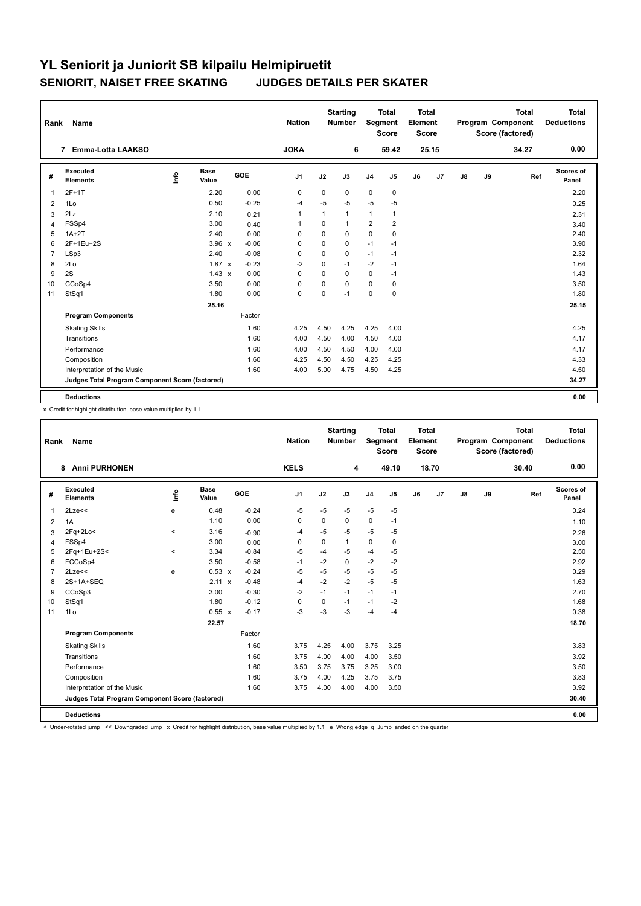| Rank           | Name                                            |      |                      |            | <b>Nation</b>  |             | <b>Starting</b><br><b>Number</b> | Segment        | <b>Total</b><br><b>Score</b> | <b>Total</b><br>Element<br><b>Score</b> |       |    |    | <b>Total</b><br>Program Component<br>Score (factored) | <b>Total</b><br><b>Deductions</b> |
|----------------|-------------------------------------------------|------|----------------------|------------|----------------|-------------|----------------------------------|----------------|------------------------------|-----------------------------------------|-------|----|----|-------------------------------------------------------|-----------------------------------|
|                | Emma-Lotta LAAKSO<br>7                          |      |                      |            | <b>JOKA</b>    |             | 6                                |                | 59.42                        |                                         | 25.15 |    |    | 34.27                                                 | 0.00                              |
| #              | Executed<br><b>Elements</b>                     | ١rfo | <b>Base</b><br>Value | <b>GOE</b> | J <sub>1</sub> | J2          | J3                               | J <sub>4</sub> | J <sub>5</sub>               | J6                                      | J7    | J8 | J9 | Ref                                                   | Scores of<br>Panel                |
| $\mathbf{1}$   | $2F+1T$                                         |      | 2.20                 | 0.00       | $\mathbf 0$    | $\mathbf 0$ | 0                                | $\mathbf 0$    | $\mathbf 0$                  |                                         |       |    |    |                                                       | 2.20                              |
| 2              | 1Lo                                             |      | 0.50                 | $-0.25$    | -4             | $-5$        | $-5$                             | $-5$           | $-5$                         |                                         |       |    |    |                                                       | 0.25                              |
| 3              | 2Lz                                             |      | 2.10                 | 0.21       | $\mathbf{1}$   | 1           | 1                                | $\mathbf{1}$   | 1                            |                                         |       |    |    |                                                       | 2.31                              |
| $\overline{4}$ | FSSp4                                           |      | 3.00                 | 0.40       | -1             | 0           | 1                                | $\overline{2}$ | $\overline{2}$               |                                         |       |    |    |                                                       | 3.40                              |
| 5              | $1A+2T$                                         |      | 2.40                 | 0.00       | 0              | 0           | 0                                | $\mathbf 0$    | $\mathbf 0$                  |                                         |       |    |    |                                                       | 2.40                              |
| 6              | 2F+1Eu+2S                                       |      | $3.96 \times$        | $-0.06$    | $\mathbf 0$    | $\mathbf 0$ | 0                                | $-1$           | $-1$                         |                                         |       |    |    |                                                       | 3.90                              |
| $\overline{7}$ | LSp3                                            |      | 2.40                 | $-0.08$    | 0              | $\mathbf 0$ | 0                                | $-1$           | $-1$                         |                                         |       |    |    |                                                       | 2.32                              |
| 8              | 2Lo                                             |      | $1.87 \times$        | $-0.23$    | $-2$           | 0           | $-1$                             | $-2$           | $-1$                         |                                         |       |    |    |                                                       | 1.64                              |
| 9              | 2S                                              |      | $1.43 \times$        | 0.00       | 0              | $\Omega$    | 0                                | $\mathbf 0$    | $-1$                         |                                         |       |    |    |                                                       | 1.43                              |
| 10             | CCoSp4                                          |      | 3.50                 | 0.00       | $\mathbf 0$    | $\mathbf 0$ | 0                                | $\mathbf 0$    | 0                            |                                         |       |    |    |                                                       | 3.50                              |
| 11             | StSq1                                           |      | 1.80                 | 0.00       | $\mathbf 0$    | $\mathbf 0$ | $-1$                             | $\mathbf 0$    | $\pmb{0}$                    |                                         |       |    |    |                                                       | 1.80                              |
|                |                                                 |      | 25.16                |            |                |             |                                  |                |                              |                                         |       |    |    |                                                       | 25.15                             |
|                | <b>Program Components</b>                       |      |                      | Factor     |                |             |                                  |                |                              |                                         |       |    |    |                                                       |                                   |
|                | <b>Skating Skills</b>                           |      |                      | 1.60       | 4.25           | 4.50        | 4.25                             | 4.25           | 4.00                         |                                         |       |    |    |                                                       | 4.25                              |
|                | Transitions                                     |      |                      | 1.60       | 4.00           | 4.50        | 4.00                             | 4.50           | 4.00                         |                                         |       |    |    |                                                       | 4.17                              |
|                | Performance                                     |      |                      | 1.60       | 4.00           | 4.50        | 4.50                             | 4.00           | 4.00                         |                                         |       |    |    |                                                       | 4.17                              |
|                | Composition                                     |      |                      | 1.60       | 4.25           | 4.50        | 4.50                             | 4.25           | 4.25                         |                                         |       |    |    |                                                       | 4.33                              |
|                | Interpretation of the Music                     |      |                      | 1.60       | 4.00           | 5.00        | 4.75                             | 4.50           | 4.25                         |                                         |       |    |    |                                                       | 4.50                              |
|                | Judges Total Program Component Score (factored) |      |                      |            |                |             |                                  |                |                              |                                         |       |    |    |                                                       | 34.27                             |
|                | <b>Deductions</b>                               |      |                      |            |                |             |                                  |                |                              |                                         |       |    |    |                                                       | 0.00                              |

x Credit for highlight distribution, base value multiplied by 1.1

| Rank           | <b>Name</b>                                     |            |                      |         | <b>Nation</b>  |             | <b>Starting</b><br><b>Number</b> | Segment        | <b>Total</b><br><b>Score</b> | <b>Total</b><br>Element<br><b>Score</b> |       |               |    | <b>Total</b><br>Program Component<br>Score (factored) | <b>Total</b><br><b>Deductions</b> |
|----------------|-------------------------------------------------|------------|----------------------|---------|----------------|-------------|----------------------------------|----------------|------------------------------|-----------------------------------------|-------|---------------|----|-------------------------------------------------------|-----------------------------------|
|                | <b>Anni PURHONEN</b><br>8                       |            |                      |         | <b>KELS</b>    |             | 4                                |                | 49.10                        |                                         | 18.70 |               |    | 30.40                                                 | 0.00                              |
| #              | Executed<br><b>Elements</b>                     | <b>Lin</b> | <b>Base</b><br>Value | GOE     | J <sub>1</sub> | J2          | J3                               | J <sub>4</sub> | J5                           | J6                                      | J7    | $\mathsf{J}8$ | J9 | Ref                                                   | <b>Scores of</b><br>Panel         |
| $\overline{1}$ | 2Lze<<                                          | e          | 0.48                 | $-0.24$ | $-5$           | $-5$        | $-5$                             | $-5$           | $-5$                         |                                         |       |               |    |                                                       | 0.24                              |
| 2              | 1A                                              |            | 1.10                 | 0.00    | 0              | 0           | 0                                | 0              | $-1$                         |                                         |       |               |    |                                                       | 1.10                              |
| 3              | $2Fq+2Lo<$                                      | $\prec$    | 3.16                 | $-0.90$ | -4             | $-5$        | $-5$                             | $-5$           | $-5$                         |                                         |       |               |    |                                                       | 2.26                              |
| $\overline{4}$ | FSSp4                                           |            | 3.00                 | 0.00    | 0              | 0           | $\mathbf{1}$                     | 0              | 0                            |                                         |       |               |    |                                                       | 3.00                              |
| 5              | 2Fq+1Eu+2S<                                     | $\prec$    | 3.34                 | $-0.84$ | -5             | $-4$        | $-5$                             | $-4$           | $-5$                         |                                         |       |               |    |                                                       | 2.50                              |
| 6              | FCCoSp4                                         |            | 3.50                 | $-0.58$ | $-1$           | $-2$        | 0                                | $-2$           | $-2$                         |                                         |       |               |    |                                                       | 2.92                              |
| $\overline{7}$ | $2$ Lze $<<$                                    | e          | 0.53 x               | $-0.24$ | -5             | $-5$        | $-5$                             | $-5$           | $-5$                         |                                         |       |               |    |                                                       | 0.29                              |
| 8              | 2S+1A+SEQ                                       |            | $2.11 \times$        | $-0.48$ | $-4$           | $-2$        | $-2$                             | $-5$           | $-5$                         |                                         |       |               |    |                                                       | 1.63                              |
| 9              | CCoSp3                                          |            | 3.00                 | $-0.30$ | $-2$           | $-1$        | $-1$                             | $-1$           | $-1$                         |                                         |       |               |    |                                                       | 2.70                              |
| 10             | StSq1                                           |            | 1.80                 | $-0.12$ | $\mathbf 0$    | $\mathbf 0$ | $-1$                             | $-1$           | $-2$                         |                                         |       |               |    |                                                       | 1.68                              |
| 11             | 1Lo                                             |            | $0.55 \times$        | $-0.17$ | $-3$           | $-3$        | $-3$                             | $-4$           | $-4$                         |                                         |       |               |    |                                                       | 0.38                              |
|                |                                                 |            | 22.57                |         |                |             |                                  |                |                              |                                         |       |               |    |                                                       | 18.70                             |
|                | <b>Program Components</b>                       |            |                      | Factor  |                |             |                                  |                |                              |                                         |       |               |    |                                                       |                                   |
|                | <b>Skating Skills</b>                           |            |                      | 1.60    | 3.75           | 4.25        | 4.00                             | 3.75           | 3.25                         |                                         |       |               |    |                                                       | 3.83                              |
|                | Transitions                                     |            |                      | 1.60    | 3.75           | 4.00        | 4.00                             | 4.00           | 3.50                         |                                         |       |               |    |                                                       | 3.92                              |
|                | Performance                                     |            |                      | 1.60    | 3.50           | 3.75        | 3.75                             | 3.25           | 3.00                         |                                         |       |               |    |                                                       | 3.50                              |
|                | Composition                                     |            |                      | 1.60    | 3.75           | 4.00        | 4.25                             | 3.75           | 3.75                         |                                         |       |               |    |                                                       | 3.83                              |
|                | Interpretation of the Music                     |            |                      | 1.60    | 3.75           | 4.00        | 4.00                             | 4.00           | 3.50                         |                                         |       |               |    |                                                       | 3.92                              |
|                | Judges Total Program Component Score (factored) |            |                      |         |                |             |                                  |                |                              |                                         |       |               |    |                                                       | 30.40                             |
|                | <b>Deductions</b>                               |            |                      |         |                |             |                                  |                |                              |                                         |       |               |    |                                                       | 0.00                              |

< Under-rotated jump << Downgraded jump x Credit for highlight distribution, base value multiplied by 1.1 e Wrong edge q Jump landed on the quarter